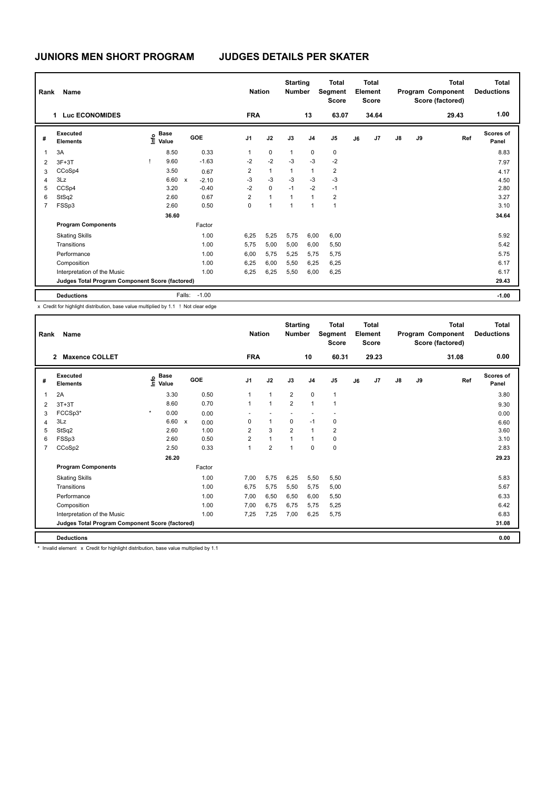| Rank           | <b>Name</b>                                     |                                  |                           |         |                         | <b>Nation</b> | <b>Starting</b><br><b>Number</b> |                | <b>Total</b><br>Segment<br><b>Score</b> |    | Total<br>Element<br><b>Score</b> |               |    | Total<br>Program Component<br>Score (factored) | Total<br><b>Deductions</b> |
|----------------|-------------------------------------------------|----------------------------------|---------------------------|---------|-------------------------|---------------|----------------------------------|----------------|-----------------------------------------|----|----------------------------------|---------------|----|------------------------------------------------|----------------------------|
|                | 1 Luc ECONOMIDES                                |                                  |                           |         | <b>FRA</b>              |               |                                  | 13             | 63.07                                   |    | 34.64                            |               |    | 29.43                                          | 1.00                       |
| #              | Executed<br><b>Elements</b>                     | <b>Base</b><br>o Base<br>⊆ Value |                           | GOE     | J1                      | J2            | J3                               | J <sub>4</sub> | J <sub>5</sub>                          | J6 | J7                               | $\mathsf{J}8$ | J9 | Ref                                            | <b>Scores of</b><br>Panel  |
| 1              | 3A                                              | 8.50                             |                           | 0.33    | $\mathbf{1}$            | $\mathbf 0$   | $\mathbf{1}$                     | 0              | 0                                       |    |                                  |               |    |                                                | 8.83                       |
| $\overline{2}$ | $3F+3T$                                         | 9.60                             |                           | $-1.63$ | $-2$                    | $-2$          | $-3$                             | $-3$           | $-2$                                    |    |                                  |               |    |                                                | 7.97                       |
| 3              | CCoSp4                                          | 3.50                             |                           | 0.67    | $\overline{\mathbf{c}}$ | $\mathbf{1}$  | $\mathbf{1}$                     | 1              | $\overline{\mathbf{c}}$                 |    |                                  |               |    |                                                | 4.17                       |
| 4              | 3Lz                                             | 6.60                             | $\boldsymbol{\mathsf{x}}$ | $-2.10$ | $-3$                    | $-3$          | $-3$                             | $-3$           | $-3$                                    |    |                                  |               |    |                                                | 4.50                       |
| 5              | CCSp4                                           | 3.20                             |                           | $-0.40$ | $-2$                    | $\mathbf 0$   | $-1$                             | $-2$           | $-1$                                    |    |                                  |               |    |                                                | 2.80                       |
| 6              | StSq2                                           | 2.60                             |                           | 0.67    | $\overline{2}$          | $\mathbf{1}$  | 1                                | 1              | $\overline{2}$                          |    |                                  |               |    |                                                | 3.27                       |
| $\overline{7}$ | FSSp3                                           | 2.60                             |                           | 0.50    | 0                       | $\mathbf{1}$  | 1                                | 1              | $\overline{1}$                          |    |                                  |               |    |                                                | 3.10                       |
|                |                                                 | 36.60                            |                           |         |                         |               |                                  |                |                                         |    |                                  |               |    |                                                | 34.64                      |
|                | <b>Program Components</b>                       |                                  |                           | Factor  |                         |               |                                  |                |                                         |    |                                  |               |    |                                                |                            |
|                | <b>Skating Skills</b>                           |                                  |                           | 1.00    | 6,25                    | 5,25          | 5,75                             | 6,00           | 6,00                                    |    |                                  |               |    |                                                | 5.92                       |
|                | Transitions                                     |                                  |                           | 1.00    | 5,75                    | 5,00          | 5,00                             | 6,00           | 5,50                                    |    |                                  |               |    |                                                | 5.42                       |
|                | Performance                                     |                                  |                           | 1.00    | 6,00                    | 5,75          | 5,25                             | 5,75           | 5,75                                    |    |                                  |               |    |                                                | 5.75                       |
|                | Composition                                     |                                  |                           | 1.00    | 6,25                    | 6,00          | 5,50                             | 6,25           | 6,25                                    |    |                                  |               |    |                                                | 6.17                       |
|                | Interpretation of the Music                     |                                  |                           | 1.00    | 6,25                    | 6,25          | 5,50                             | 6,00           | 6,25                                    |    |                                  |               |    |                                                | 6.17                       |
|                | Judges Total Program Component Score (factored) |                                  |                           |         |                         |               |                                  |                |                                         |    |                                  |               |    |                                                | 29.43                      |
|                | <b>Deductions</b>                               |                                  | Falls:                    | $-1.00$ |                         |               |                                  |                |                                         |    |                                  |               |    |                                                | $-1.00$                    |

x Credit for highlight distribution, base value multiplied by 1.1 ! Not clear edge

| Rank           | Name                                            |         |                           |                           |        |                | <b>Nation</b>  | <b>Starting</b><br><b>Number</b> |                | <b>Total</b><br>Segment<br><b>Score</b> |    | Total<br>Element<br><b>Score</b> |               |    | <b>Total</b><br>Program Component<br>Score (factored) | Total<br><b>Deductions</b> |
|----------------|-------------------------------------------------|---------|---------------------------|---------------------------|--------|----------------|----------------|----------------------------------|----------------|-----------------------------------------|----|----------------------------------|---------------|----|-------------------------------------------------------|----------------------------|
|                | 2 Maxence COLLET                                |         |                           |                           |        | <b>FRA</b>     |                |                                  | 10             | 60.31                                   |    | 29.23                            |               |    | 31.08                                                 | 0.00                       |
| #              | <b>Executed</b><br><b>Elements</b>              |         | Base<br>e Base<br>⊆ Value |                           | GOE    | J1             | J2             | J3                               | J <sub>4</sub> | J <sub>5</sub>                          | J6 | J <sub>7</sub>                   | $\mathsf{J}8$ | J9 | Ref                                                   | <b>Scores of</b><br>Panel  |
| 1              | 2A                                              |         | 3.30                      |                           | 0.50   | $\mathbf{1}$   | $\mathbf{1}$   | $\overline{2}$                   | $\mathbf 0$    | $\mathbf{1}$                            |    |                                  |               |    |                                                       | 3.80                       |
| $\overline{2}$ | $3T+3T$                                         |         | 8.60                      |                           | 0.70   | $\mathbf{1}$   | $\mathbf{1}$   | $\overline{2}$                   | $\mathbf{1}$   | $\overline{1}$                          |    |                                  |               |    |                                                       | 9.30                       |
| 3              | FCCSp3*                                         | $\star$ | 0.00                      |                           | 0.00   |                |                |                                  |                |                                         |    |                                  |               |    |                                                       | 0.00                       |
| 4              | 3Lz                                             |         | 6.60                      | $\boldsymbol{\mathsf{x}}$ | 0.00   | 0              | $\mathbf{1}$   | $\mathbf 0$                      | $-1$           | 0                                       |    |                                  |               |    |                                                       | 6.60                       |
| 5              | StSq2                                           |         | 2.60                      |                           | 1.00   | $\overline{2}$ | 3              | $\overline{2}$                   | 1              | $\overline{2}$                          |    |                                  |               |    |                                                       | 3.60                       |
| 6              | FSSp3                                           |         | 2.60                      |                           | 0.50   | $\overline{2}$ | $\mathbf{1}$   | 1                                | 1              | 0                                       |    |                                  |               |    |                                                       | 3.10                       |
| $\overline{7}$ | CCoSp2                                          |         | 2.50                      |                           | 0.33   | $\mathbf{1}$   | $\overline{2}$ | 1                                | $\Omega$       | $\mathbf 0$                             |    |                                  |               |    |                                                       | 2.83                       |
|                |                                                 |         | 26.20                     |                           |        |                |                |                                  |                |                                         |    |                                  |               |    |                                                       | 29.23                      |
|                | <b>Program Components</b>                       |         |                           |                           | Factor |                |                |                                  |                |                                         |    |                                  |               |    |                                                       |                            |
|                | <b>Skating Skills</b>                           |         |                           |                           | 1.00   | 7,00           | 5,75           | 6,25                             | 5,50           | 5,50                                    |    |                                  |               |    |                                                       | 5.83                       |
|                | Transitions                                     |         |                           |                           | 1.00   | 6,75           | 5,75           | 5,50                             | 5,75           | 5,00                                    |    |                                  |               |    |                                                       | 5.67                       |
|                | Performance                                     |         |                           |                           | 1.00   | 7,00           | 6,50           | 6,50                             | 6,00           | 5,50                                    |    |                                  |               |    |                                                       | 6.33                       |
|                | Composition                                     |         |                           |                           | 1.00   | 7,00           | 6,75           | 6,75                             | 5,75           | 5,25                                    |    |                                  |               |    |                                                       | 6.42                       |
|                | Interpretation of the Music                     |         |                           |                           | 1.00   | 7.25           | 7,25           | 7,00                             | 6.25           | 5.75                                    |    |                                  |               |    |                                                       | 6.83                       |
|                | Judges Total Program Component Score (factored) |         |                           |                           |        |                |                |                                  |                |                                         |    |                                  |               |    |                                                       | 31.08                      |
|                | <b>Deductions</b>                               |         |                           |                           |        |                |                |                                  |                |                                         |    |                                  |               |    |                                                       | 0.00                       |

\* Invalid element x Credit for highlight distribution, base value multiplied by 1.1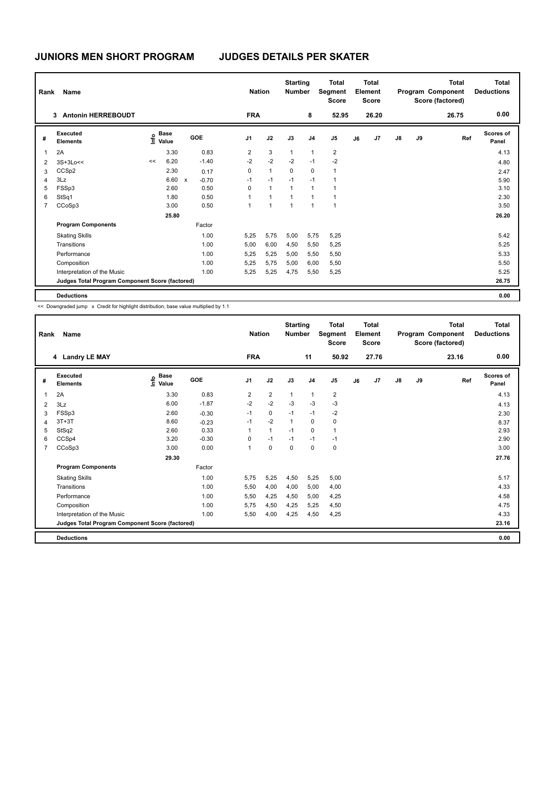| Rank           | Name                                            |    |                                  |              |         |                | <b>Nation</b> | <b>Starting</b><br><b>Number</b> |                | <b>Total</b><br>Segment<br><b>Score</b> |    | <b>Total</b><br>Element<br><b>Score</b> |               |    | <b>Total</b><br>Program Component<br>Score (factored) | <b>Total</b><br><b>Deductions</b> |
|----------------|-------------------------------------------------|----|----------------------------------|--------------|---------|----------------|---------------|----------------------------------|----------------|-----------------------------------------|----|-----------------------------------------|---------------|----|-------------------------------------------------------|-----------------------------------|
|                | <b>Antonin HERREBOUDT</b><br>3                  |    |                                  |              |         | <b>FRA</b>     |               |                                  | 8              | 52.95                                   |    | 26.20                                   |               |    | 26.75                                                 | 0.00                              |
| #              | Executed<br><b>Elements</b>                     |    | <b>Base</b><br>o Base<br>⊆ Value |              | GOE     | J <sub>1</sub> | J2            | J3                               | J <sub>4</sub> | J <sub>5</sub>                          | J6 | J <sub>7</sub>                          | $\mathsf{J}8$ | J9 | Ref                                                   | <b>Scores of</b><br>Panel         |
| 1              | 2A                                              |    | 3.30                             |              | 0.83    | 2              | 3             | $\mathbf{1}$                     | $\mathbf{1}$   | $\overline{2}$                          |    |                                         |               |    |                                                       | 4.13                              |
| 2              | $3S+3Lo<<$                                      | << | 6.20                             |              | $-1.40$ | $-2$           | $-2$          | $-2$                             | $-1$           | $-2$                                    |    |                                         |               |    |                                                       | 4.80                              |
| 3              | CCSp2                                           |    | 2.30                             |              | 0.17    | 0              | $\mathbf{1}$  | 0                                | 0              | $\overline{1}$                          |    |                                         |               |    |                                                       | 2.47                              |
| 4              | 3Lz                                             |    | 6.60                             | $\mathsf{x}$ | $-0.70$ | $-1$           | $-1$          | $-1$                             | $-1$           | $\overline{1}$                          |    |                                         |               |    |                                                       | 5.90                              |
| 5              | FSSp3                                           |    | 2.60                             |              | 0.50    | 0              | $\mathbf{1}$  | $\mathbf{1}$                     | $\mathbf{1}$   | 1                                       |    |                                         |               |    |                                                       | 3.10                              |
| 6              | StSq1                                           |    | 1.80                             |              | 0.50    | 1              | 1             | $\mathbf{1}$                     | 1              | 1                                       |    |                                         |               |    |                                                       | 2.30                              |
| $\overline{7}$ | CCoSp3                                          |    | 3.00                             |              | 0.50    | 1              | 1             | $\overline{1}$                   | $\overline{1}$ | $\overline{1}$                          |    |                                         |               |    |                                                       | 3.50                              |
|                |                                                 |    | 25.80                            |              |         |                |               |                                  |                |                                         |    |                                         |               |    |                                                       | 26.20                             |
|                | <b>Program Components</b>                       |    |                                  |              | Factor  |                |               |                                  |                |                                         |    |                                         |               |    |                                                       |                                   |
|                | <b>Skating Skills</b>                           |    |                                  |              | 1.00    | 5,25           | 5,75          | 5,00                             | 5,75           | 5,25                                    |    |                                         |               |    |                                                       | 5.42                              |
|                | Transitions                                     |    |                                  |              | 1.00    | 5,00           | 6,00          | 4,50                             | 5,50           | 5,25                                    |    |                                         |               |    |                                                       | 5.25                              |
|                | Performance                                     |    |                                  |              | 1.00    | 5,25           | 5,25          | 5,00                             | 5,50           | 5,50                                    |    |                                         |               |    |                                                       | 5.33                              |
|                | Composition                                     |    |                                  |              | 1.00    | 5.25           | 5,75          | 5,00                             | 6,00           | 5,50                                    |    |                                         |               |    |                                                       | 5.50                              |
|                | Interpretation of the Music                     |    |                                  |              | 1.00    | 5,25           | 5,25          | 4,75                             | 5,50           | 5,25                                    |    |                                         |               |    |                                                       | 5.25                              |
|                | Judges Total Program Component Score (factored) |    |                                  |              |         |                |               |                                  |                |                                         |    |                                         |               |    |                                                       | 26.75                             |
|                | <b>Deductions</b>                               |    |                                  |              |         |                |               |                                  |                |                                         |    |                                         |               |    |                                                       | 0.00                              |

<< Downgraded jump x Credit for highlight distribution, base value multiplied by 1.1

| Rank           | Name                                            |                                  |         | <b>Nation</b>  |                | <b>Starting</b><br><b>Number</b> |                | <b>Total</b><br>Segment<br><b>Score</b> |    | <b>Total</b><br>Element<br><b>Score</b> |               |    | <b>Total</b><br>Program Component<br>Score (factored) | Total<br><b>Deductions</b> |
|----------------|-------------------------------------------------|----------------------------------|---------|----------------|----------------|----------------------------------|----------------|-----------------------------------------|----|-----------------------------------------|---------------|----|-------------------------------------------------------|----------------------------|
|                | 4 Landry LE MAY                                 |                                  |         | <b>FRA</b>     |                |                                  | 11             | 50.92                                   |    | 27.76                                   |               |    | 23.16                                                 | 0.00                       |
| #              | Executed<br><b>Elements</b>                     | <b>Base</b><br>e Base<br>⊆ Value | GOE     | J <sub>1</sub> | J2             | J3                               | J <sub>4</sub> | J <sub>5</sub>                          | J6 | J7                                      | $\mathsf{J}8$ | J9 | Ref                                                   | <b>Scores of</b><br>Panel  |
| 1              | 2A                                              | 3.30                             | 0.83    | 2              | $\overline{2}$ | $\mathbf{1}$                     | $\mathbf{1}$   | $\overline{2}$                          |    |                                         |               |    |                                                       | 4.13                       |
| $\overline{2}$ | 3Lz                                             | 6.00                             | $-1.87$ | $-2$           | $-2$           | $-3$                             | $-3$           | $-3$                                    |    |                                         |               |    |                                                       | 4.13                       |
| 3              | FSSp3                                           | 2.60                             | $-0.30$ | $-1$           | $\mathbf 0$    | $-1$                             | $-1$           | $-2$                                    |    |                                         |               |    |                                                       | 2.30                       |
| $\overline{4}$ | $3T+3T$                                         | 8.60                             | $-0.23$ | -1             | $-2$           | $\overline{1}$                   | 0              | 0                                       |    |                                         |               |    |                                                       | 8.37                       |
| 5              | StSq2                                           | 2.60                             | 0.33    | $\mathbf{1}$   | $\mathbf{1}$   | $-1$                             | $\Omega$       | $\mathbf{1}$                            |    |                                         |               |    |                                                       | 2.93                       |
| 6              | CCSp4                                           | 3.20                             | $-0.30$ | 0              | $-1$           | $-1$                             | $-1$           | $-1$                                    |    |                                         |               |    |                                                       | 2.90                       |
| $\overline{7}$ | CCoSp3                                          | 3.00                             | 0.00    | $\mathbf{1}$   | $\mathbf 0$    | $\mathbf 0$                      | $\Omega$       | $\mathbf 0$                             |    |                                         |               |    |                                                       | 3.00                       |
|                |                                                 | 29.30                            |         |                |                |                                  |                |                                         |    |                                         |               |    |                                                       | 27.76                      |
|                | <b>Program Components</b>                       |                                  | Factor  |                |                |                                  |                |                                         |    |                                         |               |    |                                                       |                            |
|                | <b>Skating Skills</b>                           |                                  | 1.00    | 5,75           | 5,25           | 4,50                             | 5,25           | 5,00                                    |    |                                         |               |    |                                                       | 5.17                       |
|                | Transitions                                     |                                  | 1.00    | 5,50           | 4,00           | 4,00                             | 5,00           | 4,00                                    |    |                                         |               |    |                                                       | 4.33                       |
|                | Performance                                     |                                  | 1.00    | 5,50           | 4,25           | 4,50                             | 5,00           | 4,25                                    |    |                                         |               |    |                                                       | 4.58                       |
|                | Composition                                     |                                  | 1.00    | 5.75           | 4,50           | 4,25                             | 5,25           | 4,50                                    |    |                                         |               |    |                                                       | 4.75                       |
|                | Interpretation of the Music                     |                                  | 1.00    | 5,50           | 4,00           | 4,25                             | 4,50           | 4,25                                    |    |                                         |               |    |                                                       | 4.33                       |
|                | Judges Total Program Component Score (factored) |                                  |         |                |                |                                  |                |                                         |    |                                         |               |    |                                                       | 23.16                      |
|                | <b>Deductions</b>                               |                                  |         |                |                |                                  |                |                                         |    |                                         |               |    |                                                       | 0.00                       |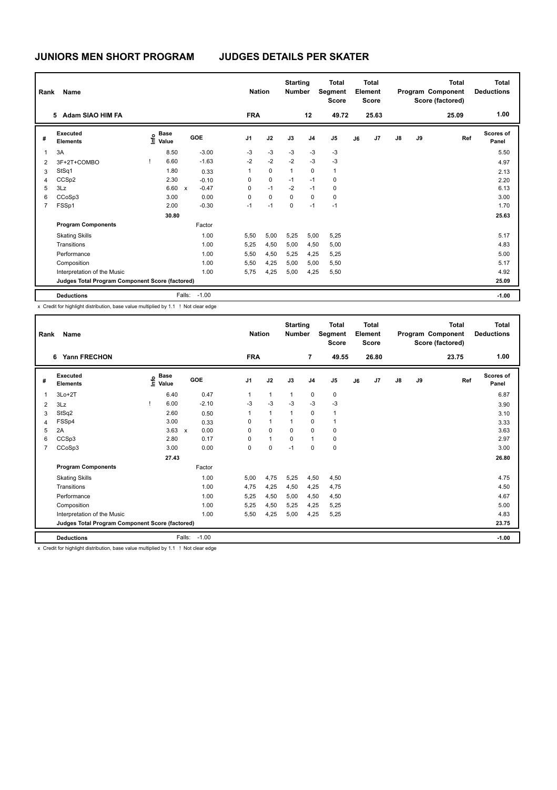| Rank           | <b>Name</b>                                     |                                  |                           |         |                | <b>Nation</b> | <b>Starting</b><br><b>Number</b> |                | <b>Total</b><br>Segment<br><b>Score</b> |    | Total<br>Element<br><b>Score</b> |               |    | Total<br>Program Component<br>Score (factored) | Total<br><b>Deductions</b> |
|----------------|-------------------------------------------------|----------------------------------|---------------------------|---------|----------------|---------------|----------------------------------|----------------|-----------------------------------------|----|----------------------------------|---------------|----|------------------------------------------------|----------------------------|
|                | Adam SIAO HIM FA<br>5                           |                                  |                           |         | <b>FRA</b>     |               |                                  | 12             | 49.72                                   |    | 25.63                            |               |    | 25.09                                          | 1.00                       |
| #              | Executed<br><b>Elements</b>                     | <b>Base</b><br>e Base<br>⊆ Value |                           | GOE     | J <sub>1</sub> | J2            | J3                               | J <sub>4</sub> | J <sub>5</sub>                          | J6 | J <sub>7</sub>                   | $\mathsf{J}8$ | J9 | Ref                                            | <b>Scores of</b><br>Panel  |
| $\mathbf{1}$   | 3A                                              | 8.50                             |                           | $-3.00$ | $-3$           | $-3$          | $-3$                             | $-3$           | $-3$                                    |    |                                  |               |    |                                                | 5.50                       |
| 2              | 3F+2T+COMBO                                     | 6.60                             |                           | $-1.63$ | $-2$           | $-2$          | $-2$                             | $-3$           | $-3$                                    |    |                                  |               |    |                                                | 4.97                       |
| 3              | StSq1                                           | 1.80                             |                           | 0.33    | $\mathbf{1}$   | $\mathbf 0$   | $\mathbf{1}$                     | $\mathbf 0$    | $\mathbf{1}$                            |    |                                  |               |    |                                                | 2.13                       |
| $\overline{4}$ | CCSp2                                           | 2.30                             |                           | $-0.10$ | 0              | $\mathbf 0$   | $-1$                             | $-1$           | 0                                       |    |                                  |               |    |                                                | 2.20                       |
| 5              | 3Lz                                             | 6.60                             | $\boldsymbol{\mathsf{x}}$ | $-0.47$ | 0              | $-1$          | $-2$                             | $-1$           | 0                                       |    |                                  |               |    |                                                | 6.13                       |
| 6              | CCoSp3                                          | 3.00                             |                           | 0.00    | 0              | $\Omega$      | $\Omega$                         | $\Omega$       | $\pmb{0}$                               |    |                                  |               |    |                                                | 3.00                       |
| $\overline{7}$ | FSSp1                                           | 2.00                             |                           | $-0.30$ | $-1$           | $-1$          | $\mathbf 0$                      | $-1$           | $-1$                                    |    |                                  |               |    |                                                | 1.70                       |
|                |                                                 | 30.80                            |                           |         |                |               |                                  |                |                                         |    |                                  |               |    |                                                | 25.63                      |
|                | <b>Program Components</b>                       |                                  |                           | Factor  |                |               |                                  |                |                                         |    |                                  |               |    |                                                |                            |
|                | <b>Skating Skills</b>                           |                                  |                           | 1.00    | 5,50           | 5,00          | 5,25                             | 5,00           | 5,25                                    |    |                                  |               |    |                                                | 5.17                       |
|                | Transitions                                     |                                  |                           | 1.00    | 5.25           | 4,50          | 5.00                             | 4,50           | 5,00                                    |    |                                  |               |    |                                                | 4.83                       |
|                | Performance                                     |                                  |                           | 1.00    | 5,50           | 4,50          | 5,25                             | 4,25           | 5,25                                    |    |                                  |               |    |                                                | 5.00                       |
|                | Composition                                     |                                  |                           | 1.00    | 5,50           | 4,25          | 5,00                             | 5,00           | 5,50                                    |    |                                  |               |    |                                                | 5.17                       |
|                | Interpretation of the Music                     |                                  |                           | 1.00    | 5,75           | 4,25          | 5,00                             | 4,25           | 5,50                                    |    |                                  |               |    |                                                | 4.92                       |
|                | Judges Total Program Component Score (factored) |                                  |                           |         |                |               |                                  |                |                                         |    |                                  |               |    |                                                | 25.09                      |
|                | <b>Deductions</b>                               |                                  | Falls:                    | $-1.00$ |                |               |                                  |                |                                         |    |                                  |               |    |                                                | $-1.00$                    |

x Credit for highlight distribution, base value multiplied by 1.1 ! Not clear edge

| Rank           | Name                                            |                           |                           |         | <b>Nation</b> |              | <b>Starting</b><br><b>Number</b> |                | <b>Total</b><br>Segment<br><b>Score</b> |    | <b>Total</b><br>Element<br><b>Score</b> |               |    | <b>Total</b><br>Program Component<br>Score (factored) | <b>Total</b><br><b>Deductions</b> |
|----------------|-------------------------------------------------|---------------------------|---------------------------|---------|---------------|--------------|----------------------------------|----------------|-----------------------------------------|----|-----------------------------------------|---------------|----|-------------------------------------------------------|-----------------------------------|
|                | Yann FRECHON<br>6                               |                           |                           |         | <b>FRA</b>    |              |                                  | $\overline{7}$ | 49.55                                   |    | 26.80                                   |               |    | 23.75                                                 | 1.00                              |
| #              | Executed<br><b>Elements</b>                     | <b>Base</b><br>e<br>Value | <b>GOE</b>                |         | J1            | J2           | J3                               | J <sub>4</sub> | J <sub>5</sub>                          | J6 | J <sub>7</sub>                          | $\mathsf{J}8$ | J9 | Ref                                                   | <b>Scores of</b><br>Panel         |
| 1              | $3Lo+2T$                                        | 6.40                      |                           | 0.47    | $\mathbf{1}$  | $\mathbf{1}$ | $\mathbf{1}$                     | $\mathbf 0$    | $\pmb{0}$                               |    |                                         |               |    |                                                       | 6.87                              |
| $\overline{2}$ | 3Lz                                             | 6.00                      |                           | $-2.10$ | $-3$          | $-3$         | $-3$                             | $-3$           | $-3$                                    |    |                                         |               |    |                                                       | 3.90                              |
| 3              | StSq2                                           | 2.60                      |                           | 0.50    | $\mathbf{1}$  | $\mathbf{1}$ | 1                                | 0              | $\mathbf{1}$                            |    |                                         |               |    |                                                       | 3.10                              |
| $\overline{4}$ | FSSp4                                           | 3.00                      |                           | 0.33    | 0             | $\mathbf{1}$ | $\mathbf{1}$                     | 0              | $\overline{1}$                          |    |                                         |               |    |                                                       | 3.33                              |
| 5              | 2A                                              | 3.63                      | $\boldsymbol{\mathsf{x}}$ | 0.00    | 0             | $\mathbf 0$  | $\Omega$                         | 0              | 0                                       |    |                                         |               |    |                                                       | 3.63                              |
| 6              | CCSp3                                           | 2.80                      |                           | 0.17    | 0             | $\mathbf{1}$ | $\mathbf 0$                      | $\mathbf{1}$   | $\pmb{0}$                               |    |                                         |               |    |                                                       | 2.97                              |
| $\overline{7}$ | CCoSp3                                          | 3.00                      |                           | 0.00    | 0             | $\mathbf 0$  | $-1$                             | 0              | $\mathbf 0$                             |    |                                         |               |    |                                                       | 3.00                              |
|                |                                                 | 27.43                     |                           |         |               |              |                                  |                |                                         |    |                                         |               |    |                                                       | 26.80                             |
|                | <b>Program Components</b>                       |                           |                           | Factor  |               |              |                                  |                |                                         |    |                                         |               |    |                                                       |                                   |
|                | <b>Skating Skills</b>                           |                           |                           | 1.00    | 5,00          | 4,75         | 5,25                             | 4,50           | 4,50                                    |    |                                         |               |    |                                                       | 4.75                              |
|                | Transitions                                     |                           |                           | 1.00    | 4,75          | 4,25         | 4,50                             | 4,25           | 4,75                                    |    |                                         |               |    |                                                       | 4.50                              |
|                | Performance                                     |                           |                           | 1.00    | 5.25          | 4,50         | 5,00                             | 4,50           | 4,50                                    |    |                                         |               |    |                                                       | 4.67                              |
|                | Composition                                     |                           |                           | 1.00    | 5,25          | 4,50         | 5,25                             | 4,25           | 5,25                                    |    |                                         |               |    |                                                       | 5.00                              |
|                | Interpretation of the Music                     |                           |                           | 1.00    | 5,50          | 4,25         | 5,00                             | 4,25           | 5,25                                    |    |                                         |               |    |                                                       | 4.83                              |
|                | Judges Total Program Component Score (factored) |                           |                           |         |               |              |                                  |                |                                         |    |                                         |               |    |                                                       | 23.75                             |
|                | <b>Deductions</b>                               |                           | Falls:                    | $-1.00$ |               |              |                                  |                |                                         |    |                                         |               |    |                                                       | $-1.00$                           |

x Credit for highlight distribution, base value multiplied by 1.1 ! Not clear edge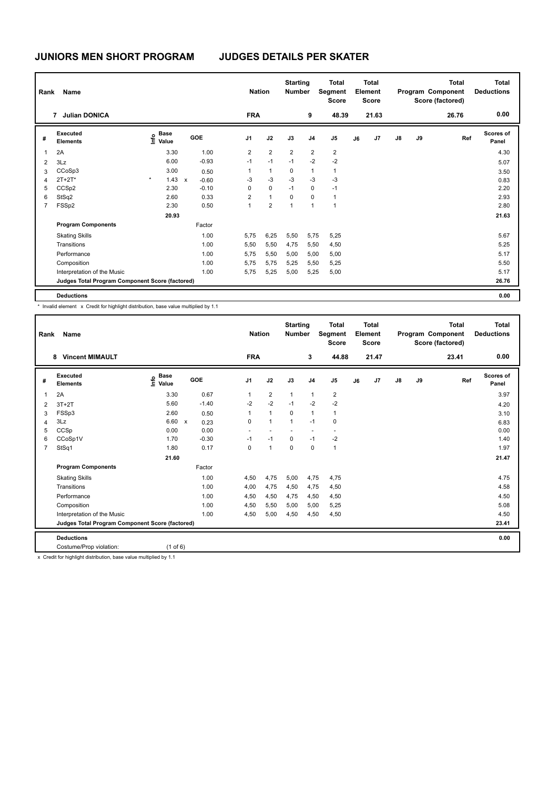| Rank           | Name                                            |         |                                  |              |         |                | <b>Nation</b>  | <b>Starting</b><br><b>Number</b> |                | <b>Total</b><br>Segment<br><b>Score</b> |    | <b>Total</b><br>Element<br><b>Score</b> |               |    | <b>Total</b><br>Program Component<br>Score (factored) | Total<br><b>Deductions</b> |
|----------------|-------------------------------------------------|---------|----------------------------------|--------------|---------|----------------|----------------|----------------------------------|----------------|-----------------------------------------|----|-----------------------------------------|---------------|----|-------------------------------------------------------|----------------------------|
|                | <b>Julian DONICA</b><br>7                       |         |                                  |              |         | <b>FRA</b>     |                |                                  | 9              | 48.39                                   |    | 21.63                                   |               |    | 26.76                                                 | 0.00                       |
| #              | Executed<br><b>Elements</b>                     |         | <b>Base</b><br>o Base<br>⊆ Value |              | GOE     | J1             | J2             | J3                               | J <sub>4</sub> | J <sub>5</sub>                          | J6 | J7                                      | $\mathsf{J}8$ | J9 | Ref                                                   | <b>Scores of</b><br>Panel  |
| $\overline{1}$ | 2A                                              |         | 3.30                             |              | 1.00    | $\overline{2}$ | $\overline{2}$ | $\overline{2}$                   | $\overline{2}$ | $\overline{2}$                          |    |                                         |               |    |                                                       | 4.30                       |
| $\overline{2}$ | 3Lz                                             |         | 6.00                             |              | $-0.93$ | $-1$           | $-1$           | $-1$                             | $-2$           | $-2$                                    |    |                                         |               |    |                                                       | 5.07                       |
| 3              | CCoSp3                                          |         | 3.00                             |              | 0.50    |                | $\mathbf{1}$   | $\mathbf 0$                      | 1              | $\mathbf{1}$                            |    |                                         |               |    |                                                       | 3.50                       |
| 4              | $2T+2T*$                                        | $\star$ | 1.43                             | $\mathsf{x}$ | $-0.60$ | -3             | $-3$           | $-3$                             | $-3$           | $-3$                                    |    |                                         |               |    |                                                       | 0.83                       |
| 5              | CCSp2                                           |         | 2.30                             |              | $-0.10$ | 0              | 0              | $-1$                             | $\mathbf 0$    | $-1$                                    |    |                                         |               |    |                                                       | 2.20                       |
| 6              | StSq2                                           |         | 2.60                             |              | 0.33    | $\overline{2}$ | $\mathbf{1}$   | $\Omega$                         | 0              | 1                                       |    |                                         |               |    |                                                       | 2.93                       |
| $\overline{7}$ | FSSp2                                           |         | 2.30                             |              | 0.50    | 1              | $\overline{2}$ | $\mathbf{1}$                     | $\mathbf{1}$   | $\mathbf{1}$                            |    |                                         |               |    |                                                       | 2.80                       |
|                |                                                 |         | 20.93                            |              |         |                |                |                                  |                |                                         |    |                                         |               |    |                                                       | 21.63                      |
|                | <b>Program Components</b>                       |         |                                  |              | Factor  |                |                |                                  |                |                                         |    |                                         |               |    |                                                       |                            |
|                | <b>Skating Skills</b>                           |         |                                  |              | 1.00    | 5,75           | 6,25           | 5,50                             | 5,75           | 5,25                                    |    |                                         |               |    |                                                       | 5.67                       |
|                | Transitions                                     |         |                                  |              | 1.00    | 5,50           | 5,50           | 4,75                             | 5,50           | 4,50                                    |    |                                         |               |    |                                                       | 5.25                       |
|                | Performance                                     |         |                                  |              | 1.00    | 5,75           | 5,50           | 5,00                             | 5,00           | 5,00                                    |    |                                         |               |    |                                                       | 5.17                       |
|                | Composition                                     |         |                                  |              | 1.00    | 5,75           | 5,75           | 5,25                             | 5,50           | 5,25                                    |    |                                         |               |    |                                                       | 5.50                       |
|                | Interpretation of the Music                     |         |                                  |              | 1.00    | 5,75           | 5,25           | 5,00                             | 5,25           | 5,00                                    |    |                                         |               |    |                                                       | 5.17                       |
|                | Judges Total Program Component Score (factored) |         |                                  |              |         |                |                |                                  |                |                                         |    |                                         |               |    |                                                       | 26.76                      |
|                | <b>Deductions</b>                               |         |                                  |              |         |                |                |                                  |                |                                         |    |                                         |               |    |                                                       | 0.00                       |

\* Invalid element x Credit for highlight distribution, base value multiplied by 1.1

| Rank           | Name                                            |                            |                                   | <b>Nation</b>  |                | <b>Starting</b><br><b>Number</b> |                          | <b>Total</b><br>Segment<br><b>Score</b> |    | <b>Total</b><br>Element<br><b>Score</b> |               |    | <b>Total</b><br>Program Component<br>Score (factored) | Total<br><b>Deductions</b> |
|----------------|-------------------------------------------------|----------------------------|-----------------------------------|----------------|----------------|----------------------------------|--------------------------|-----------------------------------------|----|-----------------------------------------|---------------|----|-------------------------------------------------------|----------------------------|
|                | <b>Vincent MIMAULT</b><br>8                     |                            |                                   | <b>FRA</b>     |                |                                  | 3                        | 44.88                                   |    | 21.47                                   |               |    | 23.41                                                 | 0.00                       |
| #              | Executed<br><b>Elements</b>                     | <b>Base</b><br>۴ê<br>Value | GOE                               | J <sub>1</sub> | J2             | J3                               | J <sub>4</sub>           | J <sub>5</sub>                          | J6 | J7                                      | $\mathsf{J}8$ | J9 | Ref                                                   | <b>Scores of</b><br>Panel  |
| 1              | 2A                                              | 3.30                       | 0.67                              | $\mathbf{1}$   | $\overline{2}$ | $\mathbf{1}$                     | $\mathbf{1}$             | $\overline{2}$                          |    |                                         |               |    |                                                       | 3.97                       |
| $\overline{2}$ | $3T+2T$                                         | 5.60                       | $-1.40$                           | $-2$           | $-2$           | $-1$                             | $-2$                     | $-2$                                    |    |                                         |               |    |                                                       | 4.20                       |
| 3              | FSSp3                                           | 2.60                       | 0.50                              | $\mathbf{1}$   | $\mathbf{1}$   | 0                                | $\mathbf{1}$             | $\mathbf{1}$                            |    |                                         |               |    |                                                       | 3.10                       |
| 4              | 3Lz                                             | 6.60                       | $\boldsymbol{\mathsf{x}}$<br>0.23 | 0              | $\mathbf{1}$   | $\mathbf{1}$                     | $-1$                     | 0                                       |    |                                         |               |    |                                                       | 6.83                       |
| 5              | CCSp                                            | 0.00                       | 0.00                              | ٠              |                |                                  | $\overline{\phantom{a}}$ | $\overline{\phantom{a}}$                |    |                                         |               |    |                                                       | 0.00                       |
| 6              | CCoSp1V                                         | 1.70                       | $-0.30$                           | $-1$           | $-1$           | 0                                | $-1$                     | $-2$                                    |    |                                         |               |    |                                                       | 1.40                       |
| $\overline{7}$ | StSq1                                           | 1.80                       | 0.17                              | 0              | $\mathbf{1}$   | $\mathbf 0$                      | 0                        | $\mathbf{1}$                            |    |                                         |               |    |                                                       | 1.97                       |
|                |                                                 | 21.60                      |                                   |                |                |                                  |                          |                                         |    |                                         |               |    |                                                       | 21.47                      |
|                | <b>Program Components</b>                       |                            | Factor                            |                |                |                                  |                          |                                         |    |                                         |               |    |                                                       |                            |
|                | <b>Skating Skills</b>                           |                            | 1.00                              | 4,50           | 4,75           | 5,00                             | 4,75                     | 4,75                                    |    |                                         |               |    |                                                       | 4.75                       |
|                | Transitions                                     |                            | 1.00                              | 4,00           | 4,75           | 4,50                             | 4,75                     | 4,50                                    |    |                                         |               |    |                                                       | 4.58                       |
|                | Performance                                     |                            | 1.00                              | 4,50           | 4,50           | 4,75                             | 4,50                     | 4,50                                    |    |                                         |               |    |                                                       | 4.50                       |
|                | Composition                                     |                            | 1.00                              | 4,50           | 5,50           | 5.00                             | 5.00                     | 5,25                                    |    |                                         |               |    |                                                       | 5.08                       |
|                | Interpretation of the Music                     |                            | 1.00                              | 4.50           | 5,00           | 4.50                             | 4,50                     | 4,50                                    |    |                                         |               |    |                                                       | 4.50                       |
|                | Judges Total Program Component Score (factored) |                            |                                   |                |                |                                  |                          |                                         |    |                                         |               |    |                                                       | 23.41                      |
|                | <b>Deductions</b>                               |                            |                                   |                |                |                                  |                          |                                         |    |                                         |               |    |                                                       | 0.00                       |
|                | Costume/Prop violation:                         | $(1$ of 6)                 |                                   |                |                |                                  |                          |                                         |    |                                         |               |    |                                                       |                            |

x Credit for highlight distribution, base value multiplied by 1.1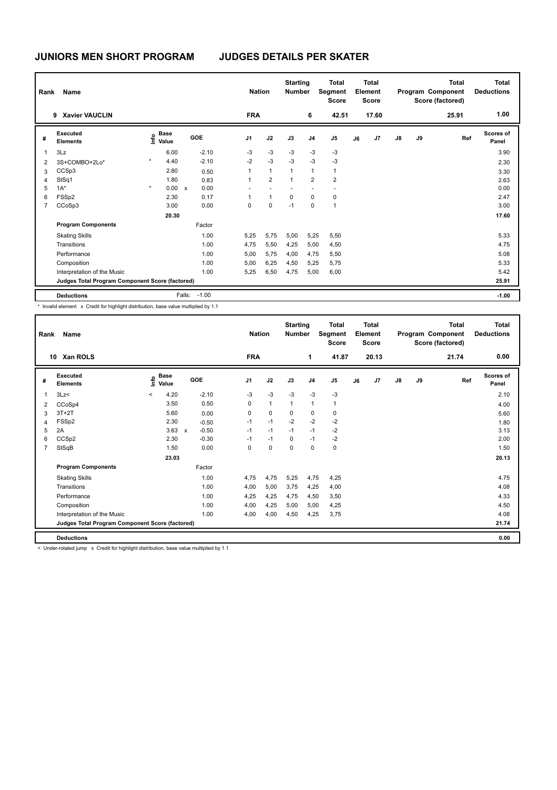| Rank           | <b>Name</b>                                     |         |                      |              |         |                | <b>Nation</b>  |                | <b>Starting</b><br><b>Number</b> | <b>Total</b><br>Segment<br><b>Score</b> |    | Total<br>Element<br><b>Score</b> |               |    | Total<br>Program Component<br>Score (factored) | Total<br><b>Deductions</b> |
|----------------|-------------------------------------------------|---------|----------------------|--------------|---------|----------------|----------------|----------------|----------------------------------|-----------------------------------------|----|----------------------------------|---------------|----|------------------------------------------------|----------------------------|
|                | <b>Xavier VAUCLIN</b><br>9                      |         |                      |              |         | <b>FRA</b>     |                |                | 6                                | 42.51                                   |    | 17.60                            |               |    | 25.91                                          | 1.00                       |
| #              | Executed<br><b>Elements</b>                     | Info    | <b>Base</b><br>Value |              | GOE     | J <sub>1</sub> | J2             | J3             | J <sub>4</sub>                   | J <sub>5</sub>                          | J6 | J7                               | $\mathsf{J}8$ | J9 | Ref                                            | <b>Scores of</b><br>Panel  |
| $\mathbf{1}$   | 3Lz                                             |         | 6.00                 |              | $-2.10$ | $-3$           | $-3$           | $-3$           | $-3$                             | $-3$                                    |    |                                  |               |    |                                                | 3.90                       |
| 2              | 3S+COMBO+2Lo*                                   | $\star$ | 4.40                 |              | $-2.10$ | $-2$           | $-3$           | $-3$           | $-3$                             | $-3$                                    |    |                                  |               |    |                                                | 2.30                       |
| 3              | CCSp3                                           |         | 2.80                 |              | 0.50    |                | $\mathbf{1}$   | $\overline{1}$ | $\mathbf{1}$                     | $\mathbf{1}$                            |    |                                  |               |    |                                                | 3.30                       |
| $\overline{4}$ | StSq1                                           |         | 1.80                 |              | 0.83    | $\overline{1}$ | $\overline{2}$ | $\overline{1}$ | $\overline{2}$                   | $\overline{2}$                          |    |                                  |               |    |                                                | 2.63                       |
| 5              | $1A^*$                                          | $\star$ | 0.00                 | $\mathsf{x}$ | 0.00    |                |                |                |                                  |                                         |    |                                  |               |    |                                                | 0.00                       |
| 6              | FSSp2                                           |         | 2.30                 |              | 0.17    |                | $\mathbf{1}$   | $\Omega$       | $\Omega$                         | 0                                       |    |                                  |               |    |                                                | 2.47                       |
| $\overline{7}$ | CCoSp3                                          |         | 3.00                 |              | 0.00    | 0              | $\mathbf 0$    | $-1$           | $\mathbf 0$                      | 1                                       |    |                                  |               |    |                                                | 3.00                       |
|                |                                                 |         | 20.30                |              |         |                |                |                |                                  |                                         |    |                                  |               |    |                                                | 17.60                      |
|                | <b>Program Components</b>                       |         |                      |              | Factor  |                |                |                |                                  |                                         |    |                                  |               |    |                                                |                            |
|                | <b>Skating Skills</b>                           |         |                      |              | 1.00    | 5.25           | 5,75           | 5,00           | 5,25                             | 5,50                                    |    |                                  |               |    |                                                | 5.33                       |
|                | Transitions                                     |         |                      |              | 1.00    | 4,75           | 5,50           | 4,25           | 5,00                             | 4,50                                    |    |                                  |               |    |                                                | 4.75                       |
|                | Performance                                     |         |                      |              | 1.00    | 5,00           | 5,75           | 4,00           | 4,75                             | 5,50                                    |    |                                  |               |    |                                                | 5.08                       |
|                | Composition                                     |         |                      |              | 1.00    | 5,00           | 6,25           | 4,50           | 5,25                             | 5,75                                    |    |                                  |               |    |                                                | 5.33                       |
|                | Interpretation of the Music                     |         |                      |              | 1.00    | 5,25           | 6,50           | 4,75           | 5,00                             | 6,00                                    |    |                                  |               |    |                                                | 5.42                       |
|                | Judges Total Program Component Score (factored) |         |                      |              |         |                |                |                |                                  |                                         |    |                                  |               |    |                                                | 25.91                      |
|                | <b>Deductions</b>                               |         |                      | Falls:       | $-1.00$ |                |                |                |                                  |                                         |    |                                  |               |    |                                                | $-1.00$                    |

\* Invalid element x Credit for highlight distribution, base value multiplied by 1.1

| Rank           | Name                                            |         |               |                           |            |                | <b>Nation</b> | <b>Starting</b><br><b>Number</b> |                | <b>Total</b><br>Segment<br><b>Score</b> |    | <b>Total</b><br>Element<br><b>Score</b> |               |    | Total<br>Program Component<br>Score (factored) | Total<br><b>Deductions</b> |
|----------------|-------------------------------------------------|---------|---------------|---------------------------|------------|----------------|---------------|----------------------------------|----------------|-----------------------------------------|----|-----------------------------------------|---------------|----|------------------------------------------------|----------------------------|
|                | <b>Xan ROLS</b><br>10                           |         |               |                           |            | <b>FRA</b>     |               |                                  | 1              | 41.87                                   |    | 20.13                                   |               |    | 21.74                                          | 0.00                       |
| #              | Executed<br><b>Elements</b>                     | lnfo    | Base<br>Value |                           | <b>GOE</b> | J <sub>1</sub> | J2            | J3                               | J <sub>4</sub> | J <sub>5</sub>                          | J6 | J <sub>7</sub>                          | $\mathsf{J}8$ | J9 | Ref                                            | <b>Scores of</b><br>Panel  |
| $\overline{1}$ | 3Lz<                                            | $\prec$ | 4.20          |                           | $-2.10$    | $-3$           | $-3$          | $-3$                             | $-3$           | $-3$                                    |    |                                         |               |    |                                                | 2.10                       |
| 2              | CCoSp4                                          |         | 3.50          |                           | 0.50       | 0              | $\mathbf{1}$  | $\mathbf{1}$                     | $\mathbf{1}$   | $\overline{1}$                          |    |                                         |               |    |                                                | 4.00                       |
| 3              | $3T+2T$                                         |         | 5.60          |                           | 0.00       | 0              | $\mathbf 0$   | 0                                | 0              | 0                                       |    |                                         |               |    |                                                | 5.60                       |
| 4              | FSSp2                                           |         | 2.30          |                           | $-0.50$    | $-1$           | $-1$          | $-2$                             | $-2$           | $-2$                                    |    |                                         |               |    |                                                | 1.80                       |
| 5              | 2A                                              |         | 3.63          | $\boldsymbol{\mathsf{x}}$ | $-0.50$    | $-1$           | $-1$          | $-1$                             | $-1$           | $-2$                                    |    |                                         |               |    |                                                | 3.13                       |
| 6              | CCSp2                                           |         | 2.30          |                           | $-0.30$    | $-1$           | $-1$          | 0                                | $-1$           | $-2$                                    |    |                                         |               |    |                                                | 2.00                       |
| $\overline{7}$ | StSqB                                           |         | 1.50          |                           | 0.00       | 0              | $\mathbf 0$   | 0                                | 0              | $\mathbf 0$                             |    |                                         |               |    |                                                | 1.50                       |
|                |                                                 |         | 23.03         |                           |            |                |               |                                  |                |                                         |    |                                         |               |    |                                                | 20.13                      |
|                | <b>Program Components</b>                       |         |               |                           | Factor     |                |               |                                  |                |                                         |    |                                         |               |    |                                                |                            |
|                | <b>Skating Skills</b>                           |         |               |                           | 1.00       | 4,75           | 4,75          | 5,25                             | 4,75           | 4,25                                    |    |                                         |               |    |                                                | 4.75                       |
|                | Transitions                                     |         |               |                           | 1.00       | 4,00           | 5,00          | 3,75                             | 4,25           | 4,00                                    |    |                                         |               |    |                                                | 4.08                       |
|                | Performance                                     |         |               |                           | 1.00       | 4,25           | 4,25          | 4,75                             | 4,50           | 3,50                                    |    |                                         |               |    |                                                | 4.33                       |
|                | Composition                                     |         |               |                           | 1.00       | 4,00           | 4,25          | 5,00                             | 5,00           | 4,25                                    |    |                                         |               |    |                                                | 4.50                       |
|                | Interpretation of the Music                     |         |               |                           | 1.00       | 4.00           | 4,00          | 4,50                             | 4.25           | 3,75                                    |    |                                         |               |    |                                                | 4.08                       |
|                | Judges Total Program Component Score (factored) |         |               |                           |            |                |               |                                  |                |                                         |    |                                         |               |    |                                                | 21.74                      |
|                | <b>Deductions</b>                               |         |               |                           |            |                |               |                                  |                |                                         |    |                                         |               |    |                                                | 0.00                       |

< Under-rotated jump x Credit for highlight distribution, base value multiplied by 1.1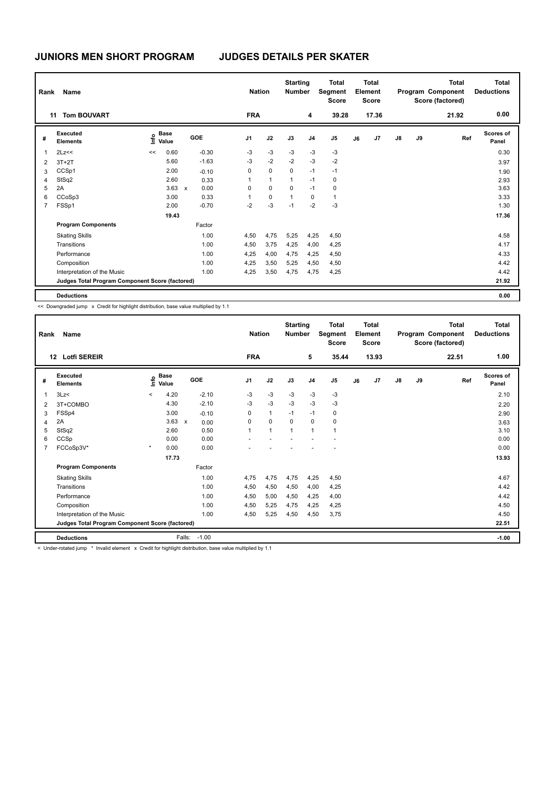| Rank           | <b>Name</b>                                     |      |               |              |            |                | <b>Nation</b> | <b>Starting</b><br><b>Number</b> |                | <b>Total</b><br>Segment<br><b>Score</b> |    | <b>Total</b><br>Element<br><b>Score</b> |               |    | <b>Total</b><br>Program Component<br>Score (factored) | Total<br><b>Deductions</b> |
|----------------|-------------------------------------------------|------|---------------|--------------|------------|----------------|---------------|----------------------------------|----------------|-----------------------------------------|----|-----------------------------------------|---------------|----|-------------------------------------------------------|----------------------------|
|                | <b>Tom BOUVART</b><br>11                        |      |               |              |            | <b>FRA</b>     |               |                                  | 4              | 39.28                                   |    | 17.36                                   |               |    | 21.92                                                 | 0.00                       |
| #              | Executed<br><b>Elements</b>                     | Info | Base<br>Value |              | <b>GOE</b> | J <sub>1</sub> | J2            | J3                               | J <sub>4</sub> | J <sub>5</sub>                          | J6 | J7                                      | $\mathsf{J}8$ | J9 | Ref                                                   | <b>Scores of</b><br>Panel  |
| 1              | 2Lz<<                                           | <<   | 0.60          |              | $-0.30$    | $-3$           | $-3$          | $-3$                             | $-3$           | $-3$                                    |    |                                         |               |    |                                                       | 0.30                       |
| 2              | $3T+2T$                                         |      | 5.60          |              | $-1.63$    | $-3$           | $-2$          | $-2$                             | $-3$           | $-2$                                    |    |                                         |               |    |                                                       | 3.97                       |
| 3              | CCSp1                                           |      | 2.00          |              | $-0.10$    | 0              | $\mathbf 0$   | $\mathbf 0$                      | $-1$           | $-1$                                    |    |                                         |               |    |                                                       | 1.90                       |
| 4              | StSq2                                           |      | 2.60          |              | 0.33       | 1              | $\mathbf{1}$  | 1                                | $-1$           | 0                                       |    |                                         |               |    |                                                       | 2.93                       |
| 5              | 2A                                              |      | 3.63          | $\mathsf{x}$ | 0.00       | 0              | $\mathbf 0$   | $\Omega$                         | $-1$           | 0                                       |    |                                         |               |    |                                                       | 3.63                       |
| 6              | CCoSp3                                          |      | 3.00          |              | 0.33       | 1              | 0             | $\mathbf{1}$                     | 0              | $\mathbf{1}$                            |    |                                         |               |    |                                                       | 3.33                       |
| $\overline{7}$ | FSSp1                                           |      | 2.00          |              | $-0.70$    | $-2$           | $-3$          | $-1$                             | $-2$           | $-3$                                    |    |                                         |               |    |                                                       | 1.30                       |
|                |                                                 |      | 19.43         |              |            |                |               |                                  |                |                                         |    |                                         |               |    |                                                       | 17.36                      |
|                | <b>Program Components</b>                       |      |               |              | Factor     |                |               |                                  |                |                                         |    |                                         |               |    |                                                       |                            |
|                | <b>Skating Skills</b>                           |      |               |              | 1.00       | 4,50           | 4,75          | 5,25                             | 4,25           | 4,50                                    |    |                                         |               |    |                                                       | 4.58                       |
|                | Transitions                                     |      |               |              | 1.00       | 4,50           | 3,75          | 4,25                             | 4,00           | 4,25                                    |    |                                         |               |    |                                                       | 4.17                       |
|                | Performance                                     |      |               |              | 1.00       | 4,25           | 4,00          | 4,75                             | 4,25           | 4,50                                    |    |                                         |               |    |                                                       | 4.33                       |
|                | Composition                                     |      |               |              | 1.00       | 4,25           | 3,50          | 5,25                             | 4,50           | 4,50                                    |    |                                         |               |    |                                                       | 4.42                       |
|                | Interpretation of the Music                     |      |               |              | 1.00       | 4,25           | 3,50          | 4,75                             | 4,75           | 4,25                                    |    |                                         |               |    |                                                       | 4.42                       |
|                | Judges Total Program Component Score (factored) |      |               |              |            |                |               |                                  |                |                                         |    |                                         |               |    |                                                       | 21.92                      |
|                | <b>Deductions</b>                               |      |               |              |            |                |               |                                  |                |                                         |    |                                         |               |    |                                                       | 0.00                       |

<< Downgraded jump x Credit for highlight distribution, base value multiplied by 1.1

| Rank           | Name                                                                                                     |         |                      |                           |            | <b>Nation</b> |                | <b>Starting</b><br><b>Number</b> |                | <b>Total</b><br>Segment<br><b>Score</b> |    | Total<br>Element<br><b>Score</b> |               |    | <b>Total</b><br>Program Component<br>Score (factored) | <b>Total</b><br><b>Deductions</b> |
|----------------|----------------------------------------------------------------------------------------------------------|---------|----------------------|---------------------------|------------|---------------|----------------|----------------------------------|----------------|-----------------------------------------|----|----------------------------------|---------------|----|-------------------------------------------------------|-----------------------------------|
| 12             | <b>Lotfi SEREIR</b>                                                                                      |         |                      |                           |            | <b>FRA</b>    |                |                                  | 5              | 35.44                                   |    | 13.93                            |               |    | 22.51                                                 | 1.00                              |
| #              | Executed<br><b>Elements</b>                                                                              | Linfo   | <b>Base</b><br>Value |                           | <b>GOE</b> | J1            | J2             | J3                               | J <sub>4</sub> | J <sub>5</sub>                          | J6 | J7                               | $\mathsf{J}8$ | J9 | Ref                                                   | <b>Scores of</b><br>Panel         |
| $\mathbf{1}$   | 3Lz                                                                                                      | $\prec$ | 4.20                 |                           | $-2.10$    | -3            | $-3$           | $-3$                             | $-3$           | $-3$                                    |    |                                  |               |    |                                                       | 2.10                              |
| 2              | 3T+COMBO                                                                                                 |         | 4.30                 |                           | $-2.10$    | -3            | $-3$           | $-3$                             | $-3$           | $-3$                                    |    |                                  |               |    |                                                       | 2.20                              |
| 3              | FSSp4                                                                                                    |         | 3.00                 |                           | $-0.10$    | 0             | $\mathbf{1}$   | $-1$                             | $-1$           | 0                                       |    |                                  |               |    |                                                       | 2.90                              |
| $\overline{4}$ | 2A                                                                                                       |         | 3.63                 | $\boldsymbol{\mathsf{x}}$ | 0.00       | 0             | $\mathbf 0$    | $\mathbf 0$                      | $\mathbf 0$    | 0                                       |    |                                  |               |    |                                                       | 3.63                              |
| 5              | StSq2                                                                                                    |         | 2.60                 |                           | 0.50       | $\mathbf{1}$  | $\overline{1}$ | $\overline{1}$                   | $\overline{1}$ | $\mathbf{1}$                            |    |                                  |               |    |                                                       | 3.10                              |
| 6              | CCSp                                                                                                     |         | 0.00                 |                           | 0.00       |               |                |                                  |                |                                         |    |                                  |               |    |                                                       | 0.00                              |
| $\overline{7}$ | FCCoSp3V*                                                                                                | $\star$ | 0.00                 |                           | 0.00       |               |                |                                  |                |                                         |    |                                  |               |    |                                                       | 0.00                              |
|                |                                                                                                          |         | 17.73                |                           |            |               |                |                                  |                |                                         |    |                                  |               |    |                                                       | 13.93                             |
|                | <b>Program Components</b>                                                                                |         |                      |                           | Factor     |               |                |                                  |                |                                         |    |                                  |               |    |                                                       |                                   |
|                | <b>Skating Skills</b>                                                                                    |         |                      |                           | 1.00       | 4.75          | 4,75           | 4,75                             | 4,25           | 4,50                                    |    |                                  |               |    |                                                       | 4.67                              |
|                | Transitions                                                                                              |         |                      |                           | 1.00       | 4,50          | 4,50           | 4,50                             | 4,00           | 4,25                                    |    |                                  |               |    |                                                       | 4.42                              |
|                | Performance                                                                                              |         |                      |                           | 1.00       | 4,50          | 5,00           | 4,50                             | 4,25           | 4,00                                    |    |                                  |               |    |                                                       | 4.42                              |
|                | Composition                                                                                              |         |                      |                           | 1.00       | 4,50          | 5,25           | 4,75                             | 4,25           | 4,25                                    |    |                                  |               |    |                                                       | 4.50                              |
|                | Interpretation of the Music                                                                              |         |                      |                           | 1.00       | 4,50          | 5,25           | 4,50                             | 4,50           | 3,75                                    |    |                                  |               |    |                                                       | 4.50                              |
|                | Judges Total Program Component Score (factored)                                                          |         |                      |                           |            |               |                |                                  |                |                                         |    |                                  |               |    |                                                       | 22.51                             |
|                | <b>Deductions</b>                                                                                        |         |                      | Falls:                    | $-1.00$    |               |                |                                  |                |                                         |    |                                  |               |    |                                                       | $-1.00$                           |
|                | < Under-rotated jump * Invalid element x Credit for highlight distribution, base value multiplied by 1.1 |         |                      |                           |            |               |                |                                  |                |                                         |    |                                  |               |    |                                                       |                                   |